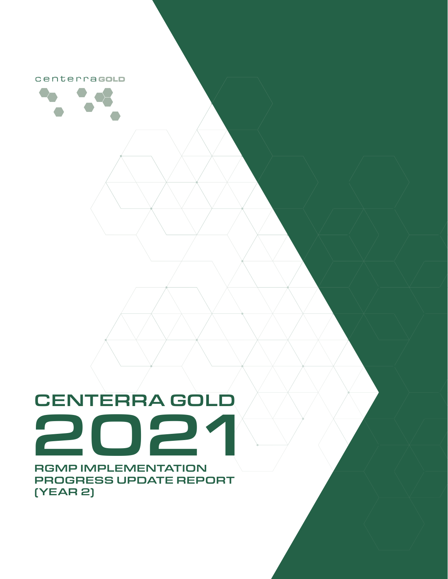centerracoLD



# CENTERRA GOLD 2021

RGMP IMPLEMENTATION PROGRESS UPDATE REPORT (YEAR 2)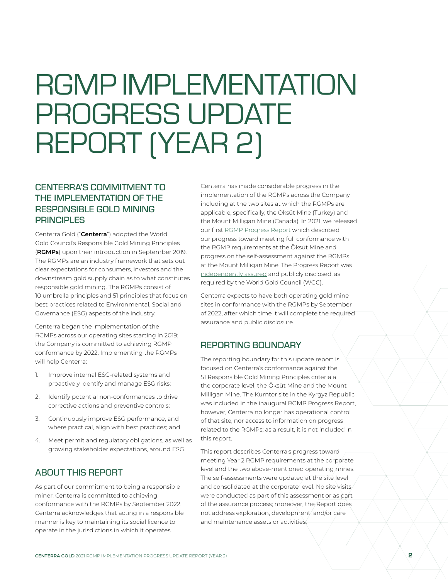## RGMP IMPLEMENTATION PROGRESS UPDATE REPORT (YEAR 2)

#### CENTERRA'S COMMITMENT TO THE IMPLEMENTATION OF THE RESPONSIBLE GOLD MINING **PRINCIPLES**

Centerra Gold ("**Centerra**") adopted the World Gold Council's Responsible Gold Mining Principles (**RGMPs**) upon their introduction in September 2019. The RGMPs are an industry framework that sets out clear expectations for consumers, investors and the downstream gold supply chain as to what constitutes responsible gold mining. The RGMPs consist of 10 umbrella principles and 51 principles that focus on best practices related to Environmental, Social and Governance (ESG) aspects of the industry.

Centerra began the implementation of the RGMPs across our operating sites starting in 2019; the Company is committed to achieving RGMP conformance by 2022. Implementing the RGMPs will help Centerra:

- 1. Improve internal ESG-related systems and proactively identify and manage ESG risks;
- 2. Identify potential non-conformances to drive corrective actions and preventive controls;
- 3. Continuously improve ESG performance, and where practical, align with best practices; and
- 4. Meet permit and regulatory obligations, as well as growing stakeholder expectations, around ESG.

#### ABOUT THIS REPORT

As part of our commitment to being a responsible miner, Centerra is committed to achieving conformance with the RGMPs by September 2022. Centerra acknowledges that acting in a responsible manner is key to maintaining its social licence to operate in the jurisdictions in which it operates.

Centerra has made considerable progress in the implementation of the RGMPs across the Company including at the two sites at which the RGMPs are applicable, specifically, the Öksüt Mine (Turkey) and the Mount Milligan Mine (Canada). In 2021, we released our first [RGMP Progress Report](https://sustainability.centerragold.com/_doc/Centerra_Gold_RGMP_Progress_Report_2020.pdf) which described our progress toward meeting full conformance with the RGMP requirements at the Öksüt Mine and progress on the self-assessment against the RGMPs at the Mount Milligan Mine. The Progress Report was [independently assured](https://sustainability.centerragold.com/_doc/Centerra_Gold_RGMP_Progress_Report_2020.pdf#page=20) and publicly disclosed, as required by the World Gold Council (WGC).

Centerra expects to have both operating gold mine sites in conformance with the RGMPs by September of 2022, after which time it will complete the required assurance and public disclosure.

#### REPORTING BOUNDARY

The reporting boundary for this update report is focused on Centerra's conformance against the 51 Responsible Gold Mining Principles criteria at the corporate level, the Öksüt Mine and the Mount Milligan Mine. The Kumtor site in the Kyrgyz Republic was included in the inaugural RGMP Progress Report, however, Centerra no longer has operational control of that site, nor access to information on progress related to the RGMPs; as a result, it is not included in this report.

This report describes Centerra's progress toward meeting Year 2 RGMP requirements at the corporate level and the two above-mentioned operating mines. The self-assessments were updated at the site level and consolidated at the corporate level. No site visits were conducted as part of this assessment or as part of the assurance process; moreover, the Report does not address exploration, development, and/or care and maintenance assets or activities.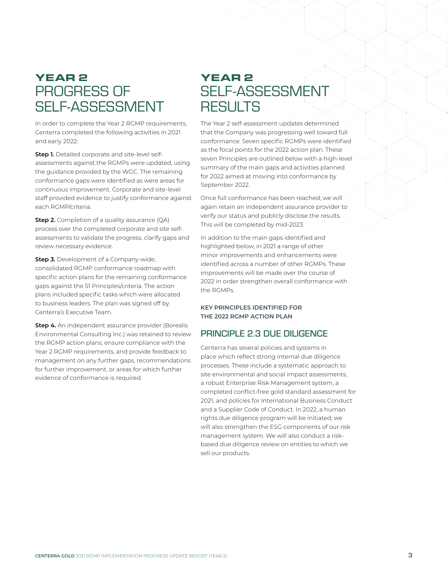### YEAR 2 PROGRESS OF SELF-ASSESSMENT

In order to complete the Year 2 RGMP requirements, Centerra completed the following activities in 2021 and early 2022:

**Step 1.** Detailed corporate and site-level selfassessments against the RGMPs were updated, using the guidance provided by the WGC. The remaining conformance gaps were identified as were areas for continuous improvement. Corporate and site-level staff provided evidence to justify conformance against each RGMP/criteria.

**Step 2.** Completion of a quality assurance (QA) process over the completed corporate and site selfassessments to validate the progress, clarify gaps and review necessary evidence.

**Step 3.** Development of a Company-wide, consolidated RGMP conformance roadmap with specific action plans for the remaining conformance gaps against the 51 Principles/criteria. The action plans included specific tasks which were allocated to business leaders. The plan was signed off by Centerra's Executive Team.

**Step 4.** An independent assurance provider (Borealis Environmental Consulting Inc.) was retained to review the RGMP action plans, ensure compliance with the Year 2 RGMP requirements, and provide feedback to management on any further gaps, recommendations for further improvement, or areas for which further evidence of conformance is required.

## YEAR 2 SELF-ASSESSMENT **RESULTS**

The Year 2 self-assessment updates determined that the Company was progressing well toward full conformance. Seven specific RGMPs were identified as the focal points for the 2022 action plan. These seven Principles are outlined below with a high-level summary of the main gaps and activities planned for 2022 aimed at moving into conformance by September 2022.

Once full conformance has been reached, we will again retain an independent assurance provider to verify our status and publicly disclose the results. This will be completed by mid-2023.

In addition to the main gaps identified and highlighted below, in 2021 a range of other minor improvements and enhancements were identified across a number of other RGMPs. These improvements will be made over the course of 2022 in order strengthen overall conformance with the RGMPs.

#### **KEY PRINCIPLES IDENTIFIED FOR THE 2022 RGMP ACTION PLAN**

#### PRINCIPLE 2.3 DUE DILIGENCE

Centerra has several policies and systems in place which reflect strong internal due diligence processes. These include a systematic approach to site environmental and social impact assessments, a robust Enterprise Risk Management system, a completed conflict-free gold standard assessment for 2021, and policies for International Business Conduct and a Supplier Code of Conduct. In 2022, a human rights due diligence program will be initiated; we will also strengthen the ESG components of our risk management system. We will also conduct a riskbased due diligence review on entities to which we sell our products.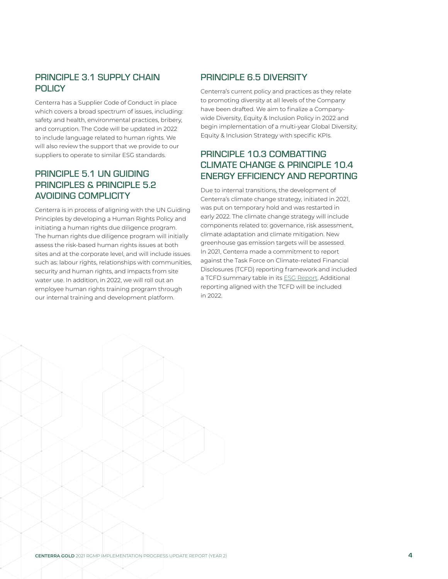#### PRINCIPLE 3.1 SUPPLY CHAIN **POLICY**

Centerra has a Supplier Code of Conduct in place which covers a broad spectrum of issues, including: safety and health, environmental practices, bribery, and corruption. The Code will be updated in 2022 to include language related to human rights. We will also review the support that we provide to our suppliers to operate to similar ESG standards.

#### PRINCIPLE 5.1 UN GUIDING PRINCIPLES & PRINCIPLE 5.2 AVOIDING COMPLICITY

Centerra is in process of aligning with the UN Guiding Principles by developing a Human Rights Policy and initiating a human rights due diligence program. The human rights due diligence program will initially assess the risk-based human rights issues at both sites and at the corporate level, and will include issues such as: labour rights, relationships with communities, security and human rights, and impacts from site water use. In addition, in 2022, we will roll out an employee human rights training program through our internal training and development platform.

#### PRINCIPLE 6.5 DIVERSITY

Centerra's current policy and practices as they relate to promoting diversity at all levels of the Company have been drafted. We aim to finalize a Companywide Diversity, Equity & Inclusion Policy in 2022 and begin implementation of a multi-year Global Diversity, Equity & Inclusion Strategy with specific KPIs.

#### PRINCIPLE 10.3 COMBATTING CLIMATE CHANGE & PRINCIPLE 10.4 ENERGY EFFICIENCY AND REPORTING

Due to internal transitions, the development of Centerra's climate change strategy, initiated in 2021, was put on temporary hold and was restarted in early 2022. The climate change strategy will include components related to: governance, risk assessment, climate adaptation and climate mitigation. New greenhouse gas emission targets will be assessed. In 2021, Centerra made a commitment to report against the Task Force on Climate-related Financial Disclosures (TCFD) reporting framework and included a TCFD summary table in its [ESG Report](https://www.centerragold.com/cg-raw/cg/2020_Centerra_ESG_Report.pdf). Additional reporting aligned with the TCFD will be included in 2022.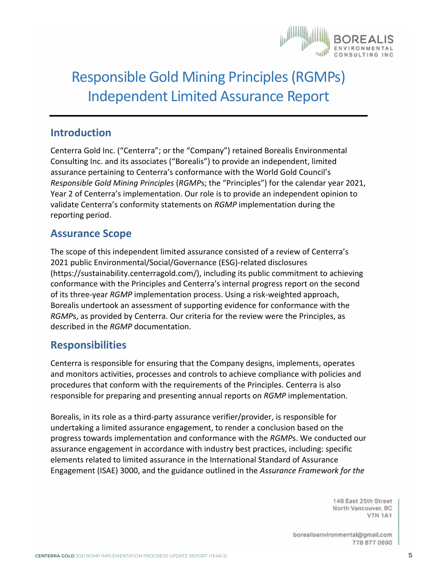

## Responsible Gold Mining Principles (RGMPs) Independent Limited Assurance Report

#### **Introduction**

Centerra Gold Inc. ("Centerra"; or the "Company") retained Borealis Environmental Consulting Inc. and its associates ("Borealis") to provide an independent, limited assurance pertaining to Centerra's conformance with the World Gold Council's *Responsible Gold Mining Principles* (*RGMP*s; the "Principles") for the calendar year 2021, Year 2 of Centerra's implementation. Our role is to provide an independent opinion to validate Centerra's conformity statements on *RGMP* implementation during the reporting period.

#### **Assurance Scope**

The scope of this independent limited assurance consisted of a review of Centerra's 2021 public Environmental/Social/Governance (ESG)-related disclosures ([https://sustainability.centerragold.com/\)](https://sustainability.centerragold.com/), including its public commitment to achieving conformance with the Principles and Centerra's internal progress report on the second of its three-year *RGMP* implementation process. Using a risk-weighted approach, Borealis undertook an assessment of supporting evidence for conformance with the *RGMP*s, as provided by Centerra. Our criteria for the review were the Principles, as described in the *RGMP* documentation.

#### **Responsibilities**

Centerra is responsible for ensuring that the Company designs, implements, operates and monitors activities, processes and controls to achieve compliance with policies and procedures that conform with the requirements of the Principles. Centerra is also responsible for preparing and presenting annual reports on *RGMP* implementation.

Borealis, in its role as a third-party assurance verifier/provider, is responsible for undertaking a limited assurance engagement, to render a conclusion based on the progress towards implementation and conformance with the *RGMP*s. We conducted our assurance engagement in accordance with industry best practices, including: specific elements related to limited assurance in the International Standard of Assurance Engagement (ISAE) 3000, and the guidance outlined in the *Assurance Framework for the* 

> 148 East 25th Street North Vancouver, BC **V7N 1A1**

borealisenvironmental@gmail.com 778 877 0690